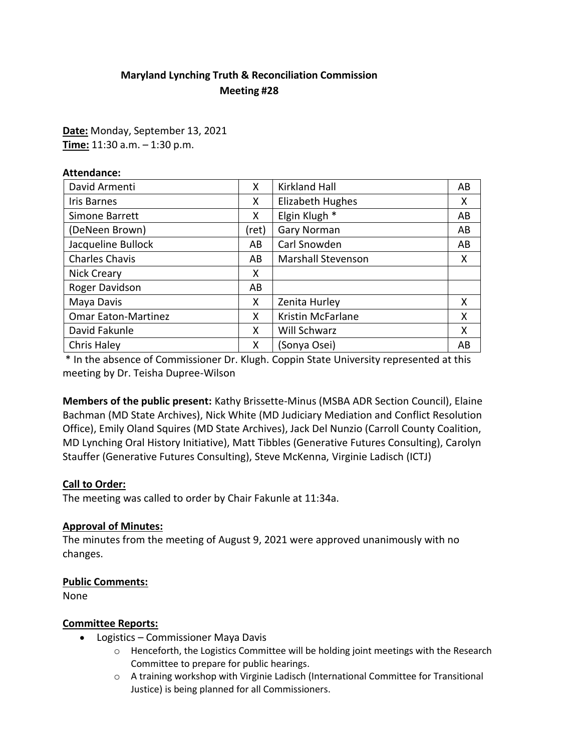# **Maryland Lynching Truth & Reconciliation Commission Meeting #28**

**Date:** Monday, September 13, 2021 **Time:** 11:30 a.m. – 1:30 p.m.

| <b>Attendance:</b>         |       |                           |    |
|----------------------------|-------|---------------------------|----|
| David Armenti              | X     | <b>Kirkland Hall</b>      | AB |
| <b>Iris Barnes</b>         | X     | <b>Elizabeth Hughes</b>   | X  |
| Simone Barrett             | x     | Elgin Klugh *             | AB |
| (DeNeen Brown)             | (ret) | Gary Norman               | AB |
| Jacqueline Bullock         | AB    | Carl Snowden              | AB |
| <b>Charles Chavis</b>      | AB    | <b>Marshall Stevenson</b> | X  |
| Nick Creary                | x     |                           |    |
| Roger Davidson             | AB    |                           |    |
| Maya Davis                 | x     | Zenita Hurley             | X  |
| <b>Omar Eaton-Martinez</b> | X     | <b>Kristin McFarlane</b>  | X  |
| David Fakunle              | X     | Will Schwarz              | X  |
| Chris Haley                | x     | (Sonya Osei)              | AB |

\* In the absence of Commissioner Dr. Klugh. Coppin State University represented at this meeting by Dr. Teisha Dupree-Wilson

**Members of the public present:** Kathy Brissette-Minus (MSBA ADR Section Council), Elaine Bachman (MD State Archives), Nick White (MD Judiciary Mediation and Conflict Resolution Office), Emily Oland Squires (MD State Archives), Jack Del Nunzio (Carroll County Coalition, MD Lynching Oral History Initiative), Matt Tibbles (Generative Futures Consulting), Carolyn Stauffer (Generative Futures Consulting), Steve McKenna, Virginie Ladisch (ICTJ)

## **Call to Order:**

The meeting was called to order by Chair Fakunle at 11:34a.

#### **Approval of Minutes:**

The minutes from the meeting of August 9, 2021 were approved unanimously with no changes.

## **Public Comments:**

None

## **Committee Reports:**

- Logistics Commissioner Maya Davis
	- $\circ$  Henceforth, the Logistics Committee will be holding joint meetings with the Research Committee to prepare for public hearings.
	- o A training workshop with Virginie Ladisch (International Committee for Transitional Justice) is being planned for all Commissioners.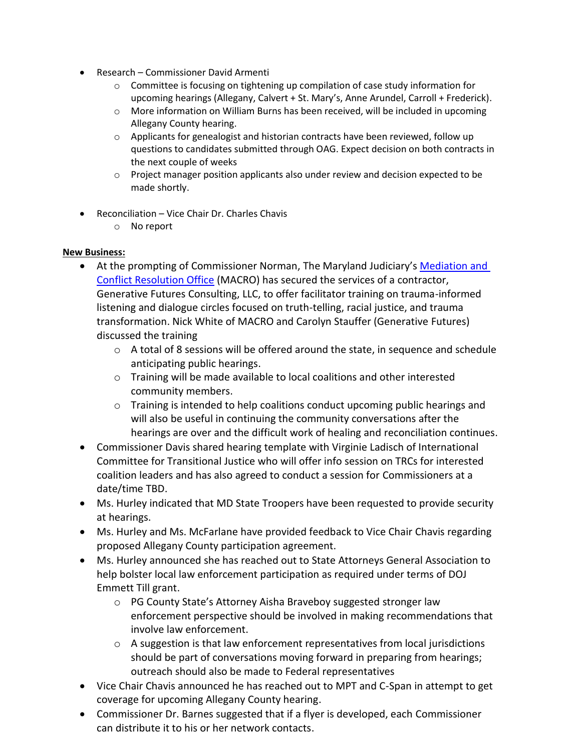- Research Commissioner David Armenti
	- $\circ$  Committee is focusing on tightening up compilation of case study information for upcoming hearings (Allegany, Calvert + St. Mary's, Anne Arundel, Carroll + Frederick).
	- $\circ$  More information on William Burns has been received, will be included in upcoming Allegany County hearing.
	- $\circ$  Applicants for genealogist and historian contracts have been reviewed, follow up questions to candidates submitted through OAG. Expect decision on both contracts in the next couple of weeks
	- $\circ$  Project manager position applicants also under review and decision expected to be made shortly.
- Reconciliation Vice Chair Dr. Charles Chavis
	- o No report

#### **New Business:**

- At the prompting of Commissioner Norman, The Maryland Judiciary's [Mediation and](https://www.courts.state.md.us/macro) [Conflict Resolution Office](https://www.courts.state.md.us/macro) (MACRO) has secured the services of a contractor, Generative Futures Consulting, LLC, to offer facilitator training on trauma-informed listening and dialogue circles focused on truth-telling, racial justice, and trauma transformation. Nick White of MACRO and Carolyn Stauffer (Generative Futures) discussed the training
	- $\circ$  A total of 8 sessions will be offered around the state, in sequence and schedule anticipating public hearings.
	- $\circ$  Training will be made available to local coalitions and other interested community members.
	- o Training is intended to help coalitions conduct upcoming public hearings and will also be useful in continuing the community conversations after the hearings are over and the difficult work of healing and reconciliation continues.
- Commissioner Davis shared hearing template with Virginie Ladisch of International Committee for Transitional Justice who will offer info session on TRCs for interested coalition leaders and has also agreed to conduct a session for Commissioners at a date/time TBD.
- Ms. Hurley indicated that MD State Troopers have been requested to provide security at hearings.
- Ms. Hurley and Ms. McFarlane have provided feedback to Vice Chair Chavis regarding proposed Allegany County participation agreement.
- Ms. Hurley announced she has reached out to State Attorneys General Association to help bolster local law enforcement participation as required under terms of DOJ Emmett Till grant.
	- o PG County State's Attorney Aisha Braveboy suggested stronger law enforcement perspective should be involved in making recommendations that involve law enforcement.
	- $\circ$  A suggestion is that law enforcement representatives from local jurisdictions should be part of conversations moving forward in preparing from hearings; outreach should also be made to Federal representatives
- Vice Chair Chavis announced he has reached out to MPT and C-Span in attempt to get coverage for upcoming Allegany County hearing.
- Commissioner Dr. Barnes suggested that if a flyer is developed, each Commissioner can distribute it to his or her network contacts.